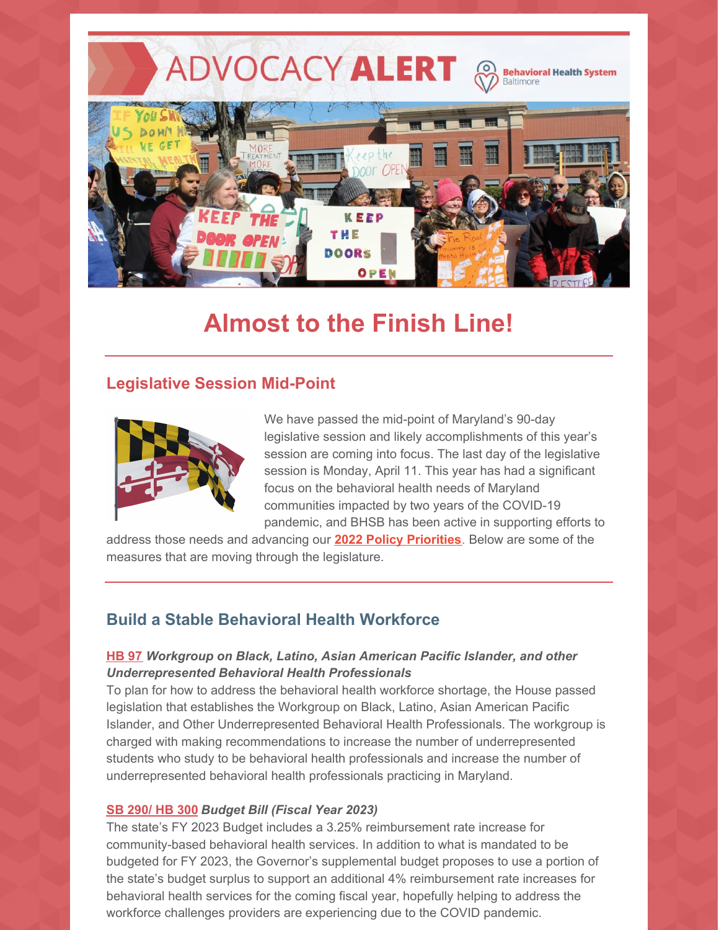ADVOCACY ALERT A **Behavioral Health System** Baltimore



# **Almost to the Finish Line!**

## **Legislative Session Mid-Point**



We have passed the mid-point of Maryland's 90-day legislative session and likely accomplishments of this year's session are coming into focus. The last day of the legislative session is Monday, April 11. This year has had a significant focus on the behavioral health needs of Maryland communities impacted by two years of the COVID-19 pandemic, and BHSB has been active in supporting efforts to

address those needs and advancing our **2022 Policy [Priorities](https://www.bhsbaltimore.org/wp-content/uploads/2021/11/Policy-Priorities-2022-2023-1.pdf)**. Below are some of the measures that are moving through the legislature.

## **Build a Stable Behavioral Health Workforce**

#### **[HB](https://mgaleg.maryland.gov/mgawebsite/Legislation/Details/hb0097) 97** *Workgroup on Black, Latino, Asian American Pacific Islander, and other Underrepresented Behavioral Health Professionals*

To plan for how to address the behavioral health workforce shortage, the House passed legislation that establishes the Workgroup on Black, Latino, Asian American Pacific Islander, and Other Underrepresented Behavioral Health Professionals. The workgroup is charged with making recommendations to increase the number of underrepresented students who study to be behavioral health professionals and increase the number of underrepresented behavioral health professionals practicing in Maryland.

#### **SB [290/](https://mgaleg.maryland.gov/mgawebsite/Legislation/Details/sb0290) HB 300** *Budget Bill (Fiscal Year 2023)*

The state's FY 2023 Budget includes a 3.25% reimbursement rate increase for community-based behavioral health services. In addition to what is mandated to be budgeted for FY 2023, the Governor's supplemental budget proposes to use a portion of the state's budget surplus to support an additional 4% reimbursement rate increases for behavioral health services for the coming fiscal year, hopefully helping to address the workforce challenges providers are experiencing due to the COVID pandemic.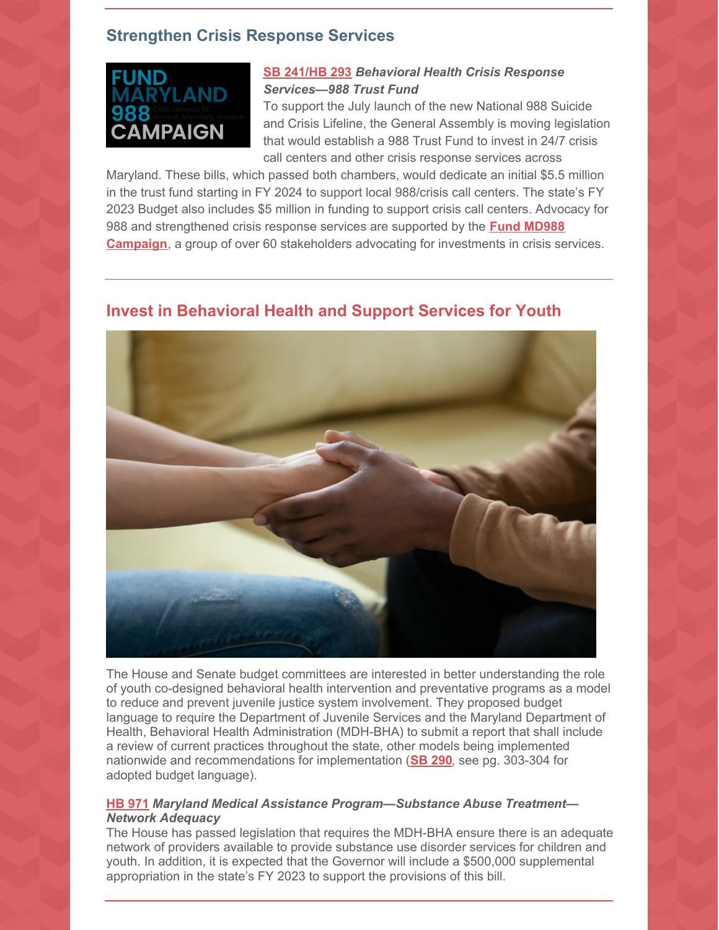## **Strengthen Crisis Response Services**



#### **SB [241/HB](https://mgaleg.maryland.gov/mgawebsite/Legislation/Details/sb0241) 293** *Behavioral Health Crisis Response Services—988 Trust Fund*

To support the July launch of the new National 988 Suicide and Crisis Lifeline, the General Assembly is moving legislation that would establish a 988 Trust Fund to invest in 24/7 crisis call centers and other crisis response services across

Maryland. These bills, which passed both chambers, would dedicate an initial \$5.5 million in the trust fund starting in FY 2024 to support local 988/crisis call centers. The state's FY 2023 Budget also includes \$5 million in funding to support crisis call centers. Advocacy for 988 and [strengthened](http://www.fundmd988.org/) crisis response services are supported by the **Fund MD988 Campaign**, a group of over 60 stakeholders advocating for investments in crisis services.

## **Invest in Behavioral Health and Support Services for Youth**



The House and Senate budget committees are interested in better understanding the role of youth co-designed behavioral health intervention and preventative programs as a model to reduce and prevent juvenile justice system involvement. They proposed budget language to require the Department of Juvenile Services and the Maryland Department of Health, Behavioral Health Administration (MDH-BHA) to submit a report that shall include a review of current practices throughout the state, other models being implemented nationwide and recommendations for implementation (**SB [290](https://mgaleg.maryland.gov/Pubs/BudgetFiscal/2022rs-budget-docs-operating-house-reprint-budget-bill.pdf)**, see pg. 303-304 for adopted budget language).

#### **HB [971](https://mgaleg.maryland.gov/mgawebsite/Legislation/Details/hb0971)** *Maryland Medical Assistance Program—Substance Abuse Treatment— Network Adequacy*

The House has passed legislation that requires the MDH-BHA ensure there is an adequate network of providers available to provide substance use disorder services for children and youth. In addition, it is expected that the Governor will include a \$500,000 supplemental appropriation in the state's FY 2023 to support the provisions of this bill.